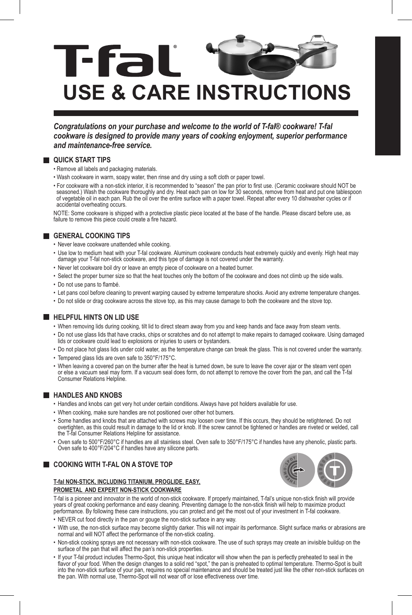

*Congratulations on your purchase and welcome to the world of T-fal® cookware! T-fal cookware is designed to provide many years of cooking enjoyment, superior performance and maintenance-free service.* 

### **QUICK START TIPS**

- Remove all labels and packaging materials.
- Wash cookware in warm, soapy water, then rinse and dry using a soft cloth or paper towel.
- For cookware with a non-stick interior, it is recommended to "season" the pan prior to first use. (Ceramic cookware should NOT be<br>seasoned.) Wash the cookware thoroughly and dry. Heat each pan on low for 30 seconds, rem of vegetable oil in each pan. Rub the oil over the entire surface with a paper towel. Repeat after every 10 dishwasher cycles or if accidental overheating occurs.

NOTE: Some cookware is shipped with a protective plastic piece located at the base of the handle. Please discard before use, as failure to remove this piece could create a fire hazard.

# **GENERAL COOKING TIPS**

- Never leave cookware unattended while cooking.
- Use low to medium heat with your T-fal cookware. Aluminum cookware conducts heat extremely quickly and evenly. High heat may damage your T-fal non-stick cookware, and this type of damage is not covered under the warranty.
- Never let cookware boil dry or leave an empty piece of cookware on a heated burner.
- Select the proper burner size so that the heat touches only the bottom of the cookware and does not climb up the side walls.
- Do not use pans to flambé.
- Let pans cool before cleaning to prevent warping caused by extreme temperature shocks. Avoid any extreme temperature changes.
- Do not slide or drag cookware across the stove top, as this may cause damage to both the cookware and the stove top.

## **HELPFUL HINTS ON LID USE**

- When removing lids during cooking, tilt lid to direct steam away from you and keep hands and face away from steam vents.
- Do not use glass lids that have cracks, chips or scratches and do not attempt to make repairs to damaged cookware. Using damaged lids or cookware could lead to explosions or injuries to users or bystanders.
- Do not place hot glass lids under cold water, as the temperature change can break the glass. This is not covered under the warranty.
- Tempered glass lids are oven safe to 350°F/175°C.
- When leaving a covered pan on the burner after the heat is turned down, be sure to leave the cover ajar or the steam vent open or else a vacuum seal may form. If a vacuum seal does form, do not attempt to remove the cover from the pan, and call the T-fal Consumer Relations Helpline.

### **HANDLES AND KNOBS**

- Handles and knobs can get very hot under certain conditions. Always have pot holders available for use.
- When cooking, make sure handles are not positioned over other hot burners.
- Some handles and knobs that are attached with screws may loosen over time. If this occurs, they should be retightened. Do not overtighten, as this could result in damage to the lid or knob. If the screw cannot be tightened or handles are riveted or welded, call the T-fal Consumer Relations Helpline for assistance.
- Oven safe to 500°F/260°C if handles are all stainless steel. Oven safe to 350°F/175°C if handles have any phenolic, plastic parts. Oven safe to 400°F/204°C if handles have any silicone parts.

**COOKING WITH T-FAL ON A STOVE TOP** 

### **T-fal NON-STICK, INCLUDING TITANIUM, PROGLIDE, EASY, PROMETAL AND EXPERT NON-STICK COOKWARE**



T-fal is a pioneer and innovator in the world of non-stick cookware. If properly maintained, T-fal's unique non-stick finish will provide years of great cooking performance and easy cleaning. Preventing damage to the non-stick finish will help to maximize product performance. By following these care instructions, you can protect and get the most out of your investment in T-fal cookware.

- NEVER cut food directly in the pan or gouge the non-stick surface in any way.
- With use, the non-stick surface may become slightly darker. This will not impair its performance. Slight surface marks or abrasions are normal and will NOT affect the performance of the non-stick coating.
- Non-stick cooking sprays are not necessary with non-stick cookware. The use of such sprays may create an invisible buildup on the surface of the pan that will affect the pan's non-stick properties.
- If your T-fal product includes Thermo-Spot, this unique heat indicator will show when the pan is perfectly preheated to seal in the flavor of your food. When the design changes to a solid red "spot," the pan is preheated to optimal temperature. Thermo-Spot is built into the non-stick surface of your pan, requires no special maintenance and should be treated just like the other non-stick surfaces on the pan. With normal use, Thermo-Spot will not wear off or lose effectiveness over time.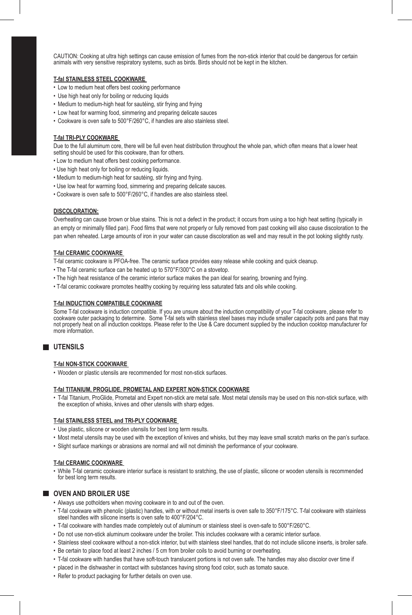CAUTION: Cooking at ultra high settings can cause emission of fumes from the non-stick interior that could be dangerous for certain animals with very sensitive respiratory systems, such as birds. Birds should not be kept in the kitchen.

### **T-fal STAINLESS STEEL COOKWARE**

- Low to medium heat offers best cooking performance
- Use high heat only for boiling or reducing liquids
- Medium to medium-high heat for sautéing, stir frying and frying
- Low heat for warming food, simmering and preparing delicate sauces
- Cookware is oven safe to 500°F/260°C, if handles are also stainless steel.

### **T-fal TRI-PLY COOKWARE**

Due to the full aluminum core, there will be full even heat distribution throughout the whole pan, which often means that a lower heat setting should be used for this cookware, than for others.

- Low to medium heat offers best cooking performance.
- Use high heat only for boiling or reducing liquids.
- Medium to medium-high heat for sautéing, stir frying and frying.
- Use low heat for warming food, simmering and preparing delicate sauces.
- Cookware is oven safe to 500°F/260°C, if handles are also stainless steel.

### **DISCOLORATION:**

Overheating can cause brown or blue stains. This is not a defect in the product; it occurs from using a too high heat setting (typically in an empty or minimally filled pan). Food films that were not properly or fully removed from past cooking will also cause discoloration to the pan when reheated. Large amounts of iron in your water can cause discoloration as well and may result in the pot looking slightly rusty.

### **T-fal CERAMIC COOKWARE**

T-fal ceramic cookware is PFOA-free. The ceramic surface provides easy release while cooking and quick cleanup.

- The T-fal ceramic surface can be heated up to 570°F/300°C on a stovetop.
- The high heat resistance of the ceramic interior surface makes the pan ideal for searing, browning and frying.
- T-fal ceramic cookware promotes healthy cooking by requiring less saturated fats and oils while cooking.

#### **T-fal INDUCTION COMPATIBLE COOKWARE**

Some T-fal cookware is induction compatible. If you are unsure about the induction compatibility of your T-fal cookware, please refer to<br>cookware outer packaging to determine. Some T-fal sets with stainless steel bases ma not properly heat on all induction cooktops. Please refer to the Use & Care document supplied by the induction cooktop manufacturer for more information.

# **UTENSILS**

#### **T-fal NON-STICK COOKWARE**

• Wooden or plastic utensils are recommended for most non-stick surfaces.

### **T-fal TITANIUM, PROGLIDE, PROMETAL AND EXPERT NON-STICK COOKWARE**

• T-fal Titanium, ProGlide, Prometal and Expert non-stick are metal safe. Most metal utensils may be used on this non-stick surface, with the exception of whisks, knives and other utensils with sharp edges.

### **T-fal STAINLESS STEEL and TRI-PLY COOKWARE**

- Use plastic, silicone or wooden utensils for best long term results.
- Most metal utensils may be used with the exception of knives and whisks, but they may leave small scratch marks on the pan's surface.
- Slight surface markings or abrasions are normal and will not diminish the performance of your cookware.

#### **T-fal CERAMIC COOKWARE**

• While T-fal ceramic cookware interior surface is resistant to sratching, the use of plastic, silicone or wooden utensils is recommended for best long term results.

### **OVEN AND BROILER USE**

- Always use potholders when moving cookware in to and out of the oven.
- T-fal cookware with phenolic (plastic) handles, with or without metal inserts is oven safe to 350°F/175°C. T-fal cookware with stainless steel handles with silicone inserts is oven safe to 400°F/204°C.
- T-fal cookware with handles made completely out of aluminum or stainless steel is oven-safe to 500°F/260°C.
- Do not use non-stick aluminum cookware under the broiler. This includes cookware with a ceramic interior surface.
- Stainless steel cookware without a non-stick interior, but with stainless steel handles, that do not include silicone inserts, is broiler safe.
- Be certain to place food at least 2 inches / 5 cm from broiler coils to avoid burning or overheating.
- T-fal cookware with handles that have soft-touch translucent portions is not oven safe. The handles may also discolor over time if
- placed in the dishwasher in contact with substances having strong food color, such as tomato sauce.
- Refer to product packaging for further details on oven use.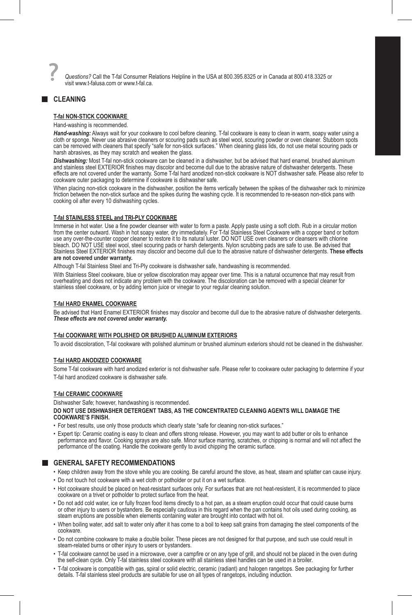*Questions?* Call the T-fal Consumer Relations Helpline in the USA at 800.395.8325 or in Canada at 800.418.3325 or visit www.t-falusa.com or www.t-fal.ca.

# **CLEANING**

### **T-fal NON-STICK COOKWARE**

### Hand-washing is recommended.

*Hand-washing:* Always wait for your cookware to cool before cleaning. T-fal cookware is easy to clean in warm, soapy water using a cloth or sponge. Never use abrasive cleaners or scouring pads such as steel wool, scouring powder or oven cleaner. Stubborn spots<br>can be removed with cleaners that specify "safe for non-stick surfaces." When cleaning glass harsh abrasives, as they may scratch and weaken the glass.

*Dishwashing:* Most T-fal non-stick cookware can be cleaned in a dishwasher, but be advised that hard enamel, brushed aluminum and stainless steel EXTERIOR finishes may discolor and become dull due to the abrasive nature of dishwasher detergents. These effects are not covered under the warranty. Some T-fal hard anodized non-stick cookware is NOT dishwasher safe. Please also refer to cookware outer packaging to determine if cookware is dishwasher safe.

When placing non-stick cookware in the dishwasher, position the items vertically between the spikes of the dishwasher rack to minimize friction between the non-stick surface and the spikes during the washing cycle. It is recommended to re-season non-stick pans with cooking oil after every 10 dishwashing cycles.

#### **T-fal STAINLESS STEEL and TRI-PLY COOKWARE**

Immerse in hot water. Use a fine powder cleanser with water to form a paste. Apply paste using a soft cloth. Rub in a circular motion<br>from the center outward. Wash in hot soapy water, dry immediately. For T-fal Stainless S use any over-the-counter copper cleaner to restore it to its natural luster. DO NOT USE oven cleaners or cleansers with chlorine bleach. DO NOT USE steel wool, steel scouring pads or harsh detergents. Nylon scrubbing pads are safe to use. Be advised that Stainless Steel EXTERIOR finishes may discolor and become dull due to the abrasive nature of dishwasher detergents. **These effects are not covered under warranty.**

Although T-fal Stainless Steel and Tri-Ply cookware is dishwasher safe, handwashing is recommended.

With Stainless Steel cookware, blue or yellow discoloration may appear over time. This is a natural occurrence that may result from overheating and does not indicate any problem with the cookware. The discoloration can be removed with a special cleaner for stainless steel cookware, or by adding lemon juice or vinegar to your regular cleaning solution.

### **T-fal HARD ENAMEL COOKWARE**

Be advised that Hard Enamel EXTERIOR finishes may discolor and become dull due to the abrasive nature of dishwasher detergents. *These effects are not covered under warranty.*

#### **T-fal COOKWARE WITH POLISHED OR BRUSHED ALUMINUM EXTERIORS**

To avoid discoloration, T-fal cookware with polished aluminum or brushed aluminum exteriors should not be cleaned in the dishwasher.

#### **T-fal HARD ANODIZED COOKWARE**

Some T-fal cookware with hard anodized exterior is not dishwasher safe. Please refer to cookware outer packaging to determine if your T-fal hard anodized cookware is dishwasher safe.

### **T-fal CERAMIC COOKWARE**

Dishwasher Safe; however, handwashing is recommended. **DO NOT USE DISHWASHER DETERGENT TABS, AS THE CONCENTRATED CLEANING AGENTS WILL DAMAGE THE COOKWARE'S FINISH.** 

- For best results, use only those products which clearly state "safe for cleaning non-stick surfaces."
- Expert tip: Ceramic coating is easy to clean and offers strong release. However, you may want to add butter or oils to enhance performance and flavor. Cooking sprays are also safe. Minor surface marring, scratches, or chipping is normal and will not affect the performance of the coating. Handle the cookware gently to avoid chipping the ceramic surface.

### **GENERAL SAFETY RECOMMENDATIONS**

- Keep children away from the stove while you are cooking. Be careful around the stove, as heat, steam and splatter can cause injury.
- Do not touch hot cookware with a wet cloth or potholder or put it on a wet surface.
- Hot cookware should be placed on heat-resistant surfaces only. For surfaces that are not heat-resistent, it is recommended to place cookware on a trivet or potholder to protect surface from the heat.
- Do not add cold water, ice or fully frozen food items directly to a hot pan, as a steam eruption could occur that could cause burns or other injury to users or bystanders. Be especially cautious in this regard when the pan contains hot oils used during cooking, as steam eruptions are possible when elements containing water are brought into contact with hot oil.
- When boiling water, add salt to water only after it has come to a boil to keep salt grains from damaging the steel components of the cookware.
- Do not combine cookware to make a double boiler. These pieces are not designed for that purpose, and such use could result in steam-related burns or other injury to users or bystanders.
- T-fal cookware cannot be used in a microwave, over a campfire or on any type of grill, and should not be placed in the oven during the self-clean cycle. Only T-fal stainless steel cookware with all stainless steel handles can be used in a broiler.
- T-fal cookware is compatible with gas, spiral or solid electric, ceramic (radiant) and halogen rangetops. See packaging for further details. T-fal stainless steel products are suitable for use on all types of rangetops, including induction.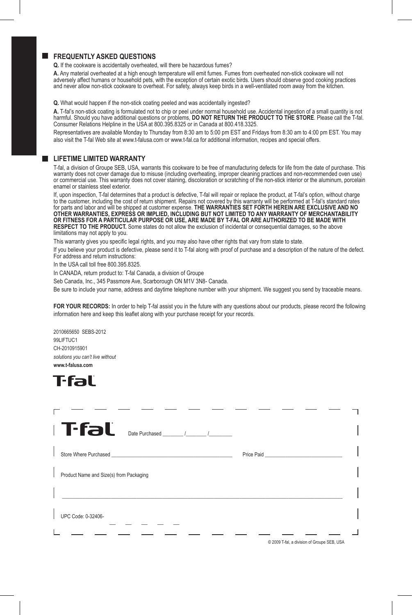# **FREQUENTLY ASKED QUESTIONS**

**Q.** If the cookware is accidentally overheated, will there be hazardous fumes?

**A.** Any material overheated at a high enough temperature will emit fumes. Fumes from overheated non-stick cookware will not adversely affect humans or household pets, with the exception of certain exotic birds. Users should observe good cooking practices and never allow non-stick cookware to overheat. For safety, always keep birds in a well-ventilated room away from the kitchen.

**Q.** What would happen if the non-stick coating peeled and was accidentally ingested?

**A.** T-fal's non-stick coating is formulated not to chip or peel under normal household use. Accidental ingestion of a small quantity is not harmful. Should you have additional questions or problems, **DO NOT RETURN THE PRODUCT TO THE STORE**. Please call the T-fal.<br>Consumer Relations Helpline in the USA at 800.395.8325 or in Canada at 800.418.3325.

Representatives are available Monday to Thursday from 8:30 am to 5:00 pm EST and Fridays from 8:30 am to 4:00 pm EST. You may also visit the T-fal Web site at www.t-falusa.com or www.t-fal.ca for additional information, recipes and special offers.

### **LIFETIME LIMITED WARRANTY**

T-fal, a division of Groupe SEB, USA, warrants this cookware to be free of manufacturing defects for life from the date of purchase. This warranty does not cover damage due to misuse (including overheating, improper cleaning practices and non-recommended oven use) or commercial use. This warranty does not cover staining, discoloration or scratching of the non-stick interior or the aluminum, porcelain enamel or stainless steel exterior.

If, upon inspection, T-fal determines that a product is defective, T-fal will repair or replace the product, at T-fal's option, without charge to the customer, including the cost of return shipment. Repairs not covered by this warranty will be performed at T-fal's standard rates<br>for parts and labor and will be shipped at customer expense. T**HE WARRANTIES SET FORT OTHER WARRANTIES, EXPRESS OR IMPLIED, INCLUDING BUT NOT LIMITED TO ANY WARRANTY OF MERCHANTABILITY OR FITNESS FOR A PARTICULAR PURPOSE OR USE, ARE MADE BY T-FAL OR ARE AUTHORIZED TO BE MADE WITH RESPECT TO THE PRODUCT.** Some states do not allow the exclusion of incidental or consequential damages, so the above limitations may not apply to you.

This warranty gives you specific legal rights, and you may also have other rights that vary from state to state.

If you believe your product is defective, please send it to T-fal along with proof of purchase and a description of the nature of the defect. For address and return instructions:

In the USA call toll free 800.395.8325.

In CANADA, return product to: T-fal Canada, a division of Groupe

Seb Canada, Inc., 345 Passmore Ave, Scarborough ON M1V 3N8- Canada.

Be sure to include your name, address and daytime telephone number with your shipment. We suggest you send by traceable means.

**FOR YOUR RECORDS:** In order to help T-fal assist you in the future with any questions about our products, please record the following information here and keep this leaflet along with your purchase receipt for your records.

2010665650 SEBS-2012 99LIFTUC1 CH-2010915901 *solutions you can't live without* **www.t-falusa.com**

# T·fal`

| ⊩T∙fal<br>Date Purchased / / /          |
|-----------------------------------------|
|                                         |
| Product Name and Size(s) from Packaging |
|                                         |
| UPC Code: 0-32406-                      |
|                                         |

© 2009 T-fal, a division of Groupe SEB, USA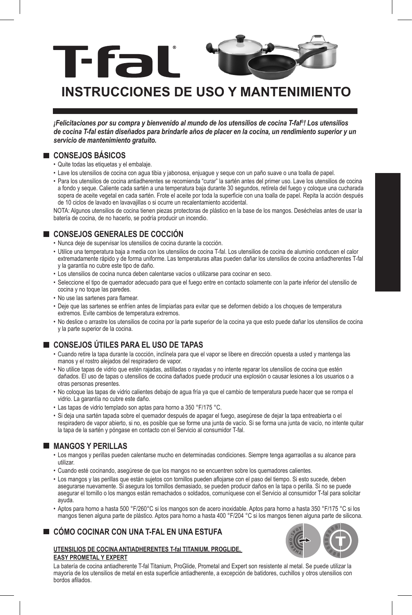

# **INSTRUCCIONES DE USO Y MANTENIMIEN**

*¡Felicitaciones por su compra y bienvenido al mundo de los utensilios de cocina T-fal®! Los utensilios de cocina T-fal están diseñados para brindarle años de placer en la cocina, un rendimiento superior y un servicio de mantenimiento gratuito.* 

# **CONSEJOS BÁSICOS**

- Quite todas las etiquetas y el embalaje.
- Lave los utensilios de cocina con agua tibia y jabonosa, enjuague y seque con un paño suave o una toalla de papel.
- Para los utensilios de cocina antiadherentes se recomienda "curar" la sartén antes del primer uso. Lave los utensilios de cocina a fondo y seque. Caliente cada sartén a una temperatura baja durante 30 segundos, retírela del fuego y coloque una cucharada sopera de aceite vegetal en cada sartén. Frote el aceite por toda la superficie con una toalla de papel. Repita la acción después de 10 ciclos de lavado en lavavajillas o si ocurre un recalentamiento accidental.

NOTA: Algunos utensilios de cocina tienen piezas protectoras de plástico en la base de los mangos. Deséchelas antes de usar la batería de cocina, de no hacerlo, se podría producir un incendio.

# **CONSEJOS GENERALES DE COCCIÓN**

- Nunca deje de supervisar los utensilios de cocina durante la cocción.
- Utilice una temperatura baja a media con los utensilios de cocina T-fal. Los utensilios de cocina de aluminio conducen el calor extremadamente rápido y de forma uniforme. Las temperaturas altas pueden dañar los utensilios de cocina antiadherentes T-fal y la garantía no cubre este tipo de daño.
- Los utensilios de cocina nunca deben calentarse vacíos o utilizarse para cocinar en seco.
- Seleccione el tipo de quemador adecuado para que el fuego entre en contacto solamente con la parte inferior del utensilio de cocina y no toque las paredes.
- No use las sartenes para flamear.
- Deje que las sartenes se enfríen antes de limpiarlas para evitar que se deformen debido a los choques de temperatura extremos. Evite cambios de temperatura extremos.
- No deslice o arrastre los utensilios de cocina por la parte superior de la cocina ya que esto puede dañar los utensilios de cocina y la parte superior de la cocina.

# **CONSEJOS ÚTILES PARA EL USO DE TAPAS**

- Cuando retire la tapa durante la cocción, inclínela para que el vapor se libere en dirección opuesta a usted y mantenga las manos y el rostro alejados del respiradero de vapor.
- No utilice tapas de vidrio que estén rajadas, astilladas o rayadas y no intente reparar los utensilios de cocina que estén dañados. El uso de tapas o utensilios de cocina dañados puede producir una explosión o causar lesiones a los usuarios o a otras personas presentes.
- No coloque las tapas de vidrio calientes debajo de agua fría ya que el cambio de temperatura puede hacer que se rompa el vidrio. La garantía no cubre este daño.
- Las tapas de vidrio templado son aptas para horno a 350 °F/175 °C.
- Si deja una sartén tapada sobre el quemador después de apagar el fuego, asegúrese de dejar la tapa entreabierta o el respiradero de vapor abierto, si no, es posible que se forme una junta de vacío. Si se forma una junta de vacío, no intente quitar la tapa de la sartén y póngase en contacto con el Servicio al consumidor T-fal.

# **MANGOS Y PERILLAS**

- Los mangos y perillas pueden calentarse mucho en determinadas condiciones. Siempre tenga agarraollas a su alcance para utilizar.
- Cuando esté cocinando, asegúrese de que los mangos no se encuentren sobre los quemadores calientes.
- Los mangos y las perillas que están sujetos con tornillos pueden aflojarse con el paso del tiempo. Si esto sucede, deben asegurarse nuevamente. Si asegura los tornillos demasiado, se pueden producir daños en la tapa o perilla. Si no se puede asegurar el tornillo o los mangos están remachados o soldados, comuníquese con el Servicio al consumidor T-fal para solicitar ayuda.
- Aptos para horno a hasta 500 °F/260°C si los mangos son de acero inoxidable. Aptos para horno a hasta 350 °F/175 °C si los mangos tienen alguna parte de plástico. Aptos para horno a hasta 400 °F/204 °C si los mangos tienen alguna parte de silicona.

# **CÓMO COCINAR CON UNA T-FAL EN UNA ESTUFA**





La batería de cocina antiadherente T-fal Titanium, ProGlide, Prometal and Expert son resistente al metal. Se puede utilizar la mayoría de los utensilios de metal en esta superficie antiadherente, a excepción de batidores, cuchillos y otros utensilios con bordos afilados.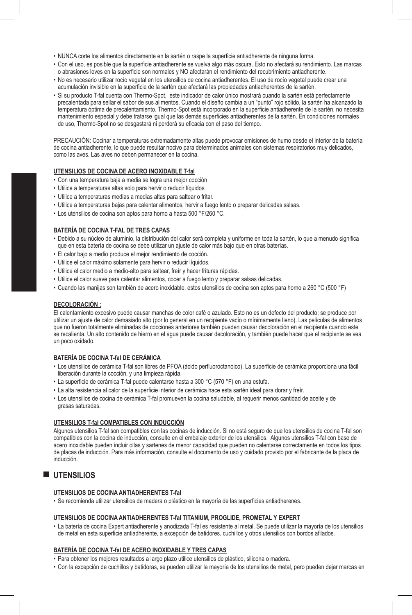- NUNCA corte los alimentos directamente en la sartén o raspe la superficie antiadherente de ninguna forma.
- Con el uso, es posible que la superficie antiadherente se vuelva algo más oscura. Esto no afectará su rendimiento. Las marcas o abrasiones leves en la superficie son normales y NO afectarán el rendimiento del recubrimiento antiadherente.
- No es necesario utilizar rocío vegetal en los utensilios de cocina antiadherentes. El uso de rocío vegetal puede crear una acumulación invisible en la superficie de la sartén que afectará las propiedades antiadherentes de la sartén.
- Si su producto T-fal cuenta con Thermo-Spot, este indicador de calor único mostrará cuando la sartén está perfectamente precalentada para sellar el sabor de sus alimentos. Cuando el diseño cambia a un "punto" rojo sólido, la sartén ha alcanzado la temperatura óptima de precalentamiento. Thermo-Spot está incorporado en la superficie antiadherente de la sartén, no necesita mantenimiento especial y debe tratarse igual que las demás superficies antiadherentes de la sartén. En condiciones normales de uso, Thermo-Spot no se desgastará ni perderá su eficacia con el paso del tiempo.

PRECAUCIÓN: Cocinar a temperaturas extremadamente altas puede provocar emisiones de humo desde el interior de la batería de cocina antiadherente, lo que puede resultar nocivo para determinados animales con sistemas respiratorios muy delicados, como las aves. Las aves no deben permanecer en la cocina.

# **UTENSILIOS DE COCINA DE ACERO INOXIDABLE T-fal**

- Con una temperatura baja a media se logra una mejor cocción
- Utilice a temperaturas altas solo para hervir o reducir líquidos
- Utilice a temperaturas medias a medias altas para saltear o fritar.
- Utilice a temperaturas bajas para calentar alimentos, hervir a fuego lento o preparar delicadas salsas.
- Los utensilios de cocina son aptos para horno a hasta 500 °F/260 °C.

### **BATERÍA DE COCINA T-FAL DE TRES CAPAS**

- Debido a su núcleo de aluminio, la distribución del calor será completa y uniforme en toda la sartén, lo que a menudo significa que en esta batería de cocina se debe utilizar un ajuste de calor más bajo que en otras baterías.
- El calor bajo a medio produce el mejor rendimiento de cocción.
- Utilice el calor máximo solamente para hervir o reducir líquidos.
- Utilice el calor medio a medio-alto para saltear, freír y hacer frituras rápidas.
- Utilice el calor suave para calentar alimentos, cocer a fuego lento y preparar salsas delicadas.
- Cuando las manijas son también de acero inoxidable, estos utensilios de cocina son aptos para horno a 260 °C (500 °F)

### **DECOLORACIÓN :**

El calentamiento excesivo puede causar manchas de color café o azulado. Esto no es un defecto del producto; se produce por utilizar un ajuste de calor demasiado alto (por lo general en un recipiente vacío o mínimamente lleno). Las películas de alimentos que no fueron totalmente eliminadas de cocciones anteriores también pueden causar decoloración en el recipiente cuando este se recalienta. Un alto contenido de hierro en el agua puede causar decoloración, y también puede hacer que el recipiente se vea un poco oxidado.

### **BATERÍA DE COCINA T-fal DE CERÁMICA**

- Los utensilios de cerámica T-fal son libres de PFOA (ácido perfluoroctanoico). La superficie de cerámica proporciona una fácil liberación durante la cocción, y una limpieza rápida.
- La superficie de cerámica T-fal puede calentarse hasta a 300 °C (570 °F) en una estufa.
- La alta resistencia al calor de la superficie interior de cerámica hace esta sartén ideal para dorar y freír.
- Los utensilios de cocina de cerámica T-fal promueven la cocina saludable, al requerir menos cantidad de aceite y de grasas saturadas.

### **UTENSILIOS T-fal COMPATIBLES CON INDUCCIÓN**

Algunos utensilios T-fal son compatibles con las cocinas de inducción. Si no está seguro de que los utensilios de cocina T-fal son compatibles con la cocina de inducción, consulte en el embalaje exterior de los utensilios. Algunos utensilios T-fal con base de acero inoxidable pueden incluir ollas y sartenes de menor capacidad que pueden no calentarse correctamente en todos los tipos de placas de inducción. Para más información, consulte el documento de uso y cuidado provisto por el fabricante de la placa de inducción.

# **UTENSILIOS**

### **UTENSILIOS DE COCINA ANTIADHERENTES T-fal**

• Se recomienda utilizar utensilios de madera o plástico en la mayoría de las superficies antiadherenes.

### **UTENSILIOS DE COCINA ANTIADHERENTES T-fal TITANIUM, PROGLIDE, PROMETAL Y EXPERT**

• La batería de cocina Expert antiadherente y anodizada T-fal es resistente al metal. Se puede utilizar la mayoría de los utensilios de metal en esta superficie antiadherente, a excepción de batidores, cuchillos y otros utensilios con bordos afilados.

### **BATERÍA DE COCINA T-fal DE ACERO INOXIDABLE Y TRES CAPAS**

- Para obtener los mejores resultados a largo plazo utilice utensilios de plástico, silicona o madera.
- Con la excepción de cuchillos y batidoras, se pueden utilizar la mayoría de los utensilios de metal, pero pueden dejar marcas en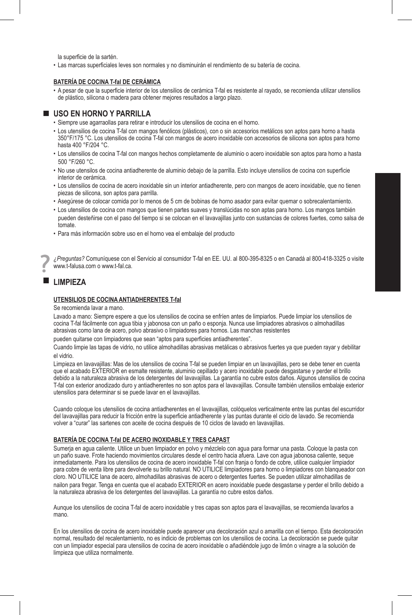la superficie de la sartén.

• Las marcas superficiales leves son normales y no disminuirán el rendimiento de su batería de cocina.

### **BATERÍA DE COCINA T-fal DE CERÁMICA**

• A pesar de que la superficie interior de los utensilios de cerámica T-fal es resistente al rayado, se recomienda utilizar utensilios de plástico, silicona o madera para obtener mejores resultados a largo plazo.

### **USO EN HORNO Y PARRILLA**

- Siempre use agarraollas para retirar e introducir los utensilios de cocina en el horno.
- Los utensilios de cocina T-fal con mangos fenólicos (plásticos), con o sin accesorios metálicos son aptos para horno a hasta 350°F/175 °C. Los utensilios de cocina T-fal con mangos de acero inoxidable con accesorios de silicona son aptos para horno hasta 400 °F/204 °C.
- Los utensilios de cocina T-fal con mangos hechos completamente de aluminio o acero inoxidable son aptos para horno a hasta 500 °F/260 °C.
- No use utensilos de cocina antiadherente de aluminio debajo de la parrilla. Esto incluye utensilios de cocina con superficie interior de cerámica.
- Los utensilios de cocina de acero inoxidable sin un interior antiadherente, pero con mangos de acero inoxidable, que no tienen piezas de silicona, son aptos para parrilla.
- Asegúrese de colocar comida por lo menos de 5 cm de bobinas de horno asador para evitar quemar o sobrecalentamiento.
- Los utensilios de cocina con mangos que tienen partes suaves y translúcidas no son aptas para horno. Los mangos también pueden desteñirse con el paso del tiempo si se colocan en el lavavajillas junto con sustancias de colores fuertes, como salsa de tomate.
- Para más información sobre uso en el horno vea el embalaje del producto

*¿Preguntas?* Comuníquese con el Servicio al consumidor T-fal en EE. UU. al 800-395-8325 o en Canadá al 800-418-3325 o visite www.t-falusa.com o www.t-fal.ca.

# **LIMPIEZA**

### **UTENSILIOS DE COCINA ANTIADHERENTES T-fal**

Se recomienda lavar a mano.

Lavado a mano: Siempre espere a que los utensilios de cocina se enfríen antes de limpiarlos. Puede limpiar los utensilios de cocina T-fal fácilmente con agua tibia y jabonosa con un paño o esponja. Nunca use limpiadores abrasivos o almohadillas abrasivas como lana de acero, polvo abrasivo o limpiadores para hornos. Las manchas resistentes

pueden quitarse con limpiadores que sean "aptos para superficies antiadherentes".

Cuando limpie las tapas de vidrio, no utilice almohadillas abrasivas metálicas o abrasivos fuertes ya que pueden rayar y debilitar el vidrio.

Limpieza en lavavajillas: Mas de los utensilios de cocina T-fal se pueden limpiar en un lavavajillas, pero se debe tener en cuenta que el acabado EXTERIOR en esmalte resistente, aluminio cepillado y acero inoxidable puede desgastarse y perder el brillo debido a la naturaleza abrasiva de los detergentes del lavavajillas. La garantía no cubre estos daños. Algunos utensilios de cocina T-fal con exterior anodizado duro y antiadherentes no son aptos para el lavavajillas. Consulte también utensilios embalaje exterior utensilios para determinar si se puede lavar en el lavavajillas.

Cuando coloque los utensilios de cocina antiadherentes en el lavavajillas, colóquelos verticalmente entre las puntas del escurridor del lavavajillas para reducir la fricción entre la superficie antiadherente y las puntas durante el ciclo de lavado. Se recomienda volver a "curar" las sartenes con aceite de cocina después de 10 ciclos de lavado en lavavajillas.

### **BATERÍA DE COCINA T-fal DE ACERO INOXIDABLE Y TRES CAPAST**

Sumerja en agua caliente. Utilice un buen limpiador en polvo y mézclelo con agua para formar una pasta. Coloque la pasta con un paño suave. Frote haciendo movimientos circulares desde el centro hacia afuera. Lave con agua jabonosa caliente, seque inmediatamente. Para los utensilios de cocina de acero inoxidable T-fal con franja o fondo de cobre, utilice cualquier limpiador para cobre de venta libre para devolverle su brillo natural. NO UTILICE limpiadores para horno o limpiadores con blanqueador con cloro. NO UTILICE lana de acero, almohadillas abrasivas de acero o detergentes fuertes. Se pueden utilizar almohadillas de nailon para fregar. Tenga en cuenta que el acabado EXTERIOR en acero inoxidable puede desgastarse y perder el brillo debido a la naturaleza abrasiva de los detergentes del lavavajillas. La garantía no cubre estos daños.

Aunque los utensilios de cocina T-fal de acero inoxidable y tres capas son aptos para el lavavajillas, se recomienda lavarlos a mano.

En los utensilios de cocina de acero inoxidable puede aparecer una decoloración azul o amarilla con el tiempo. Esta decoloración normal, resultado del recalentamiento, no es indicio de problemas con los utensilios de cocina. La decoloración se puede quitar con un limpiador especial para utensilios de cocina de acero inoxidable o añadiéndole jugo de limón o vinagre a la solución de limpieza que utiliza normalmente.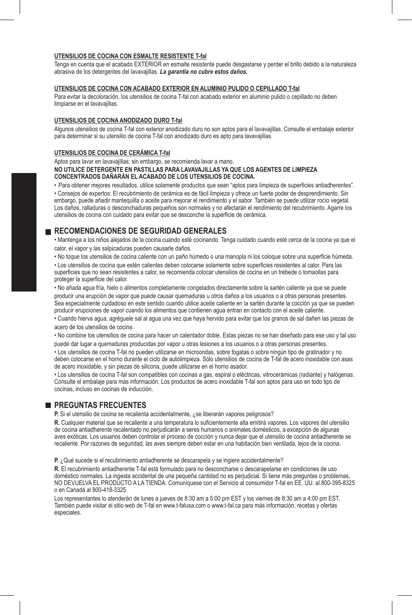### **UTENSILIOS DE COCINA CON ESMALTE RESISTENTE T-fal**

Tenga en cuenta que el acabado EXTERIOR en esmalte resistente puede desgastarse y perder el brillo debido a la naturaleza abrasiva de los detergentes del lavavajillas. *La garantía no cubre estos daños.*

### **UTENSILIOS DE COCINA CON ACABADO EXTERIOR EN ALUMINIO PULIDO O CEPILLADO T-fal**

Para evitar la decoloración, los utensilios de cocina T-fal con acabado exterior en aluminio pulido o cepillado no deben limpiarse en el lavavajillas.

### **UTENSILIOS DE COCINA ANODIZADO DURO T-fal**

Algunos utensilios de cocina T-fal con exterior anodizado duro no son aptos para el lavavajillas. Consulte el embalaje exterior para determinar si su utensilio de cocina T-fal con anodizado duro es apto para lavavajillas.

### **UTENSILIOS DE COCINA DE CERÁMICA T-fal**

Aptos para lavar en lavavajillas; sin embargo, se recomienda lavar a mano.

**NO UTILICE DETERGENTE EN PASTILLAS PARA LAVAVAJILLAS YA QUE LOS AGENTES DE LIMPIEZA CONCENTRADOS DAÑARÁN EL ACABADO DE LOS UTENSILIOS DE COCINA.** 

• Para obtener mejores resultados, utilice solamente productos que sean "aptos para limpieza de superficies antiadherentes".

• Consejos de expertos: El recubrimiento de cerámica es de fácil limpieza y ofrece un fuerte poder de desprendimiento. Sin embargo, puede añadir mantequilla o aceite para mejorar el rendimiento y el sabor. También se puede utilizar rocío vegetal. Los daños, ralladuras o desconchaduras pequeños son normales y no afectarán el rendimiento del recubrimiento. Agarre los utensilios de cocina con cuidado para evitar que se desconche la superficie de cerámica.

### **RECOMENDACIONES DE SEGURIDAD GENERALES**

• Mantenga a los niños alejados de la cocina cuando esté cocinando. Tenga cuidado cuando esté cerca de la cocina ya que el calor, el vapor y las salpicaduras pueden causarle daños.

• No toque los utensilios de cocina caliente con un paño húmedo o una manopla ni los coloque sobre una superficie húmeda.

• Los utensilios de cocina que estén calientes deben colocarse solamente sobre superficies resistentes al calor. Para las superficies que no sean resistentes a calor, se recomienda colocar utensilios de cocina en un trébede o tomaollas para proteger la superficie del calor.

• No añada agua fría, hielo o alimentos completamente congelados directamente sobre la sartén caliente ya que se puede producir una erupción de vapor que puede causar quemaduras u otros daños a los usuarios o a otras personas presentes. Sea especialmente cuidadoso en este sentido cuando utilice aceite caliente en la sartén durante la cocción ya que se pueden producir erupciones de vapor cuando los alimentos que contienen agua entran en contacto con el aceite caliente.

• Cuando hierva agua, agréguele sal al agua una vez que haya hervido para evitar que los granos de sal dañen las piezas de acero de los utensilios de cocina.

• No combine los utensilios de cocina para hacer un calentador doble. Estas piezas no se han diseñado para ese uso y tal uso puede dar lugar a quemaduras producidas por vapor u otras lesiones a los usuarios o a otras personas presentes.

• Los utensilios de cocina T-fal no pueden utilizarse en microondas, sobre fogatas o sobre ningún tipo de gratinador y no deben colocarse en el horno durante el ciclo de autolimpieza. Sólo utensilios de cocina de T-fal de acero inoxidable con asas de acero inoxidable, y sin piezas de silicona, puede utilizarse en el horno asador.

• Los utensilios de cocina T-fal son compatibles con cocinas a gas, espiral o eléctricas, vitrocerámicas (radiante) y halógenas. Consulte el embalaje para más información. Los productos de acero inoxidable T-fal son aptos para uso en todo tipo de cocinas, incluso en cocinas de inducción.

# **PREGUNTAS FRECUENTES**

**P.** Si el utensilio de cocina se recalienta accidentalmente, ¿se liberarán vapores peligrosos?

**R.** Cualquier material que se recaliente a una temperatura lo suficientemente alta emitirá vapores. Los vapores del utensilio de cocina antiadherente recalentado no perjudicarán a seres humanos o animales domésticos, a excepción de algunas aves exóticas. Los usuarios deben controlar el proceso de cocción y nunca dejar que el utensilio de cocina antiadherente se recaliente. Por razones de seguridad, las aves siempre deben estar en una habitación bien ventilada, lejos de la cocina.

**P.** ¿Qué sucede si el recubrimiento antiadherente se descarapela y se ingiere accidentalmente?

**R.** El recubrimiento antiadherente T-fal está formulado para no desconcharse o descarapelarse en condiciones de uso doméstico normales. La ingesta accidental de una pequeña cantidad no es perjudicial. Si tiene más preguntas o problemas, NO DEVUELVA EL PRODUCTO A LA TIENDA. Comuníquese con el Servicio al consumidor T-fal en EE. UU. al 800-395-8325 o en Canadá al 800-418-3325

Los representantes lo atenderán de lunes a jueves de 8:30 am a 5:00 pm EST y los viernes de 8:30 am a 4:00 pm EST. También puede visitar el sitio web de T-fal en www.t-falusa.com o www.t-fal.ca para más información, recetas y ofertas especiales.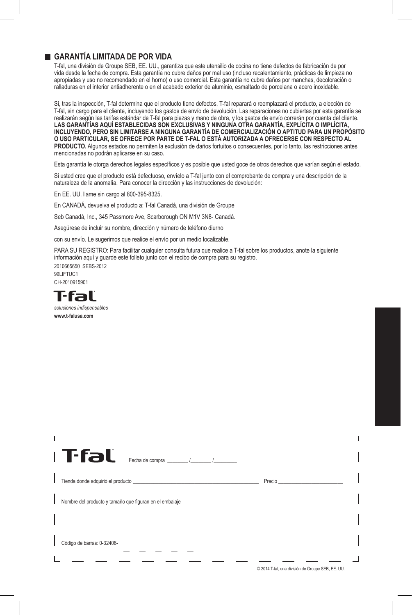# **GARANTÍA LIMITADA DE POR VIDA**

T-fal, una división de Groupe SEB, EE. UU., garantiza que este utensilio de cocina no tiene defectos de fabricación de por vida desde la fecha de compra. Esta garantía no cubre daños por mal uso (incluso recalentamiento, prácticas de limpieza no apropiadas y uso no recomendado en el horno) o uso comercial. Esta garantía no cubre daños por manchas, decoloración o ralladuras en el interior antiadherente o en el acabado exterior de aluminio, esmaltado de porcelana o acero inoxidable.

Si, tras la inspección, T-fal determina que el producto tiene defectos, T-fal reparará o reemplazará el producto, a elección de T-fal, sin cargo para el cliente, incluyendo los gastos de envío de devolución. Las reparaciones no cubiertas por esta garantía se realizarán según las tarifas estándar de T-fal para piezas y mano de obra, y los gastos de envío correrán por cuenta del cliente. **LAS GARANTÍAS AQUÍ ESTABLECIDAS SON EXCLUSIVAS Y NINGUNA OTRA GARANTÍA, EXPLÍCITA O IMPLÍCITA, INCLUYENDO, PERO SIN LIMITARSE A NINGUNA GARANTÍA DE COMERCIALIZACIÓN O APTITUD PARA UN PROPÓSITO O USO PARTICULAR, SE OFRECE POR PARTE DE T-FAL O ESTÁ AUTORIZADA A OFRECERSE CON RESPECTO AL PRODUCTO.** Algunos estados no permiten la exclusión de daños fortuitos o consecuentes, por lo tanto, las restricciones antes mencionadas no podrán aplicarse en su caso.

Esta garantía le otorga derechos legales específicos y es posible que usted goce de otros derechos que varían según el estado.

Si usted cree que el producto está defectuoso, envíelo a T-fal junto con el comprobante de compra y una descripción de la naturaleza de la anomalía. Para conocer la dirección y las instrucciones de devolución:

En EE. UU. llame sin cargo al 800-395-8325.

En CANADÁ, devuelva el producto a: T-fal Canadá, una división de Groupe

Seb Canadá, Inc., 345 Passmore Ave, Scarborough ON M1V 3N8- Canadá.

Asegúrese de incluir su nombre, dirección y número de teléfono diurno

con su envío. Le sugerimos que realice el envío por un medio localizable.

PARA SU REGISTRO: Para facilitar cualquier consulta futura que realice a T-fal sobre los productos, anote la siguiente información aquí y guarde este folleto junto con el recibo de compra para su registro. 2010665650 SEBS-2012

99LIFTUC1 CH-2010915901



*soluciones indispensables* **www.t-falusa.com**

| Tfal<br>Fecha de compra $\frac{1}{\sqrt{1-\frac{1}{2}}}\sqrt{1-\frac{1}{2}}$ |  |
|------------------------------------------------------------------------------|--|
| Precio                                                                       |  |
| Nombre del producto y tamaño que figuran en el embalaje                      |  |
| Código de barras: 0-32406-                                                   |  |

© 2014 T-fal, una división de Groupe SEB, EE. UU.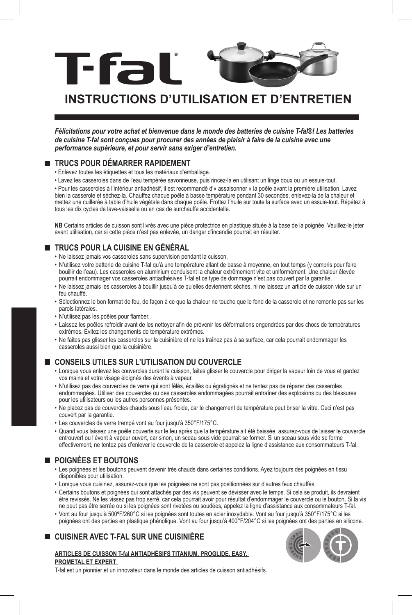

# **INSTRUCTIONS D'UTILISATION ET D'ENTRETIEN**

*Félicitations pour votre achat et bienvenue dans le monde des batteries de cuisine T-fal®! Les batteries de cuisine T-fal sont conçues pour procurer des années de plaisir à faire de la cuisine avec une performance supérieure, et pour servir sans exiger d'entretien.* 

# **TRUCS POUR DÉMARRER RAPIDEMENT**

- Enlevez toutes les étiquettes et tous les matériaux d'emballage.
- Lavez les casseroles dans de l'eau tempérée savonneuse, puis rincez-la en utilisant un linge doux ou un essuie-tout.

• Pour les casseroles à l'intérieur antiadhésif, il est recommandé d'« assaisonner » la poêle avant la première utilisation. Lavez bien la casserole et séchez-la. Chauffez chaque poêle à basse température pendant 30 secondes, enlevez-la de la chaleur et mettez une cuillerée à table d'huile végétale dans chaque poêle. Frottez l'huile sur toute la surface avec un essuie-tout. Répétez à tous les dix cycles de lave-vaisselle ou en cas de surchauffe accidentelle.

**NB** Certains articles de cuisson sont livrés avec une pièce protectrice en plastique située à la base de la poignée. Veuillez-le jeter avant utilisation, car si cette pièce n'est pas enlevée, un danger d'incendie pourrait en résulter.

# **TRUCS POUR LA CUISINE EN GÉNÉRAL**

- Ne laissez jamais vos casseroles sans supervision pendant la cuisson.
- N'utilisez votre batterie de cuisine T-fal qu'à une température allant de basse à moyenne, en tout temps (y compris pour faire bouillir de l'eau). Les casseroles en aluminium conduisent la chaleur extrêmement vite et uniformément. Une chaleur élevée pourrait endommager vos casseroles antiadhésives T-fal et ce type de dommage n'est pas couvert par la garantie.
- Ne laissez jamais les casseroles à bouillir jusqu'à ce qu'elles deviennent sèches, ni ne laissez un article de cuisson vide sur un feu chauffé.
- Sélectionnez le bon format de feu, de façon à ce que la chaleur ne touche que le fond de la casserole et ne remonte pas sur les parois latérales.
- N'utilisez pas les poêles pour flamber.
- Laissez les poêles refroidir avant de les nettoyer afin de prévenir les déformations engendrées par des chocs de températures extrêmes. Évitez les changements de température extrêmes.
- Ne faites pas glisser les casseroles sur la cuisinière et ne les traînez pas à sa surface, car cela pourrait endommager les casseroles aussi bien que la cuisinière.

# **CONSEILS UTILES SUR L'UTILISATION DU COUVERCLE**

- Lorsque vous enlevez les couvercles durant la cuisson, faites glisser le couvercle pour diriger la vapeur loin de vous et gardez vos mains et votre visage éloignés des évents à vapeur.
- N'utilisez pas des couvercles de verre qui sont fêlés, écaillés ou égratignés et ne tentez pas de réparer des casseroles endommagées. Utiliser des couvercles ou des casseroles endommagées pourrait entraîner des explosions ou des blessures pour les utilisateurs ou les autres personnes présentes.
- Ne placez pas de couvercles chauds sous l'eau froide, car le changement de température peut briser la vitre. Ceci n'est pas couvert par la garantie.
- Les couvercles de verre trempé vont au four jusqu'à 350°F/175°C.
- Quand vous laissez une poêle couverte sur le feu après que la température ait été baissée, assurez-vous de laisser le couvercle entrouvert ou l'évent à vapeur ouvert, car sinon, un sceau sous vide pourrait se former. Si un sceau sous vide se forme effectivement, ne tentez pas d'enlever le couvercle de la casserole et appelez la ligne d'assistance aux consommateurs T-fal.

# **POIGNÉES ET BOUTONS**

- Les poignées et les boutons peuvent devenir très chauds dans certaines conditions. Ayez toujours des poignées en tissu disponibles pour utilisation.
- Lorsque vous cuisinez, assurez-vous que les poignées ne sont pas positionnées sur d'autres feux chauffés.
- Certains boutons et poignées qui sont attachés par des vis peuvent se dévisser avec le temps. Si cela se produit, ils devraient être revissés. Ne les vissez pas trop serré, car cela pourrait avoir pour résultat d'endommager le couvercle ou le bouton. Si la vis ne peut pas être serrée ou si les poignées sont rivetées ou soudées, appelez la ligne d'assistance aux consommateurs T-fal.
- Vont au four jusqu'à 500ºF/260°C si les poignées sont toutes en acier inoxydable. Vont au four jusqu'à 350°F/175°C si les poignées ont des parties en plastique phénolique. Vont au four jusqu'à 400°F/204°C si les poignées ont des parties en silicone.

# **CUISINER AVEC T-FAL SUR UNE CUISINIÈRE**

### **ARTICLES DE CUISSON T-fal ANTIADHÉSIFS TITANIUM, PROGLIDE, EASY, PROMETAL ET EXPERT**



T-fal est un pionnier et un innovateur dans le monde des articles de cuisson antiadhésifs.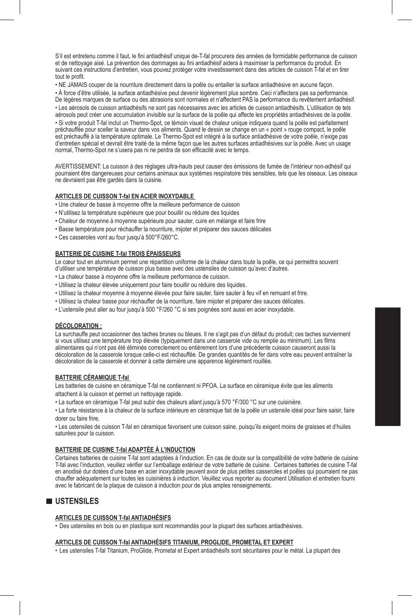S'il est entretenu comme il faut, le fini antiadhésif unique de-T-fal procurera des années de formidable performance de cuisson et de nettoyage aisé. La prévention des dommages au fini antiadhésif aidera à maximiser la performance du produit. En suivant ces instructions d'entretien, vous pouvez protéger votre investissement dans des articles de cuisson T-fal et en tirer tout le profit.

• NE JAMAIS couper de la nourriture directement dans la poêle ou entailler la surface antiadhésive en aucune façon.

• À force d'être utilisée, la surface antiadhésive peut devenir légèrement plus sombre. Ceci n'affectera pas sa performance. De légères marques de surface ou des abrasions sont normales et n'affectent PAS la performance du revêtement antiadhésif. • Les aérosols de cuisson antiadhésifs ne sont pas nécessaires avec les articles de cuisson antiadhésifs. L'utilisation de tels aérosols peut créer une accumulation invisible sur la surface de la poêle qui affecte les propriétés antiadhésives de la poêle. • Si votre produit T-fal inclut un Thermo-Spot, ce témoin visuel de chaleur unique indiquera quand la poêle est parfaitement préchauffée pour sceller la saveur dans vos aliments. Quand le dessin se change en un « point » rouge compact, le poêle est préchauffé à la température optimale. Le Thermo-Spot est intégré à la surface antiadhésive de votre poêle, n'exige pas d'entretien spécial et devrait être traité de la même façon que les autres surfaces antiadhésives sur la poêle. Avec un usage normal, Thermo-Spot ne s'usera pas ni ne perdra de son efficacité avec le temps.

AVERTISSEMENT: La cuisson à des réglages ultra-hauts peut causer des émissions de fumée de l'intérieur non-adhésif qui pourraient être dangereuses pour certains animaux aux systèmes respiratoire très sensibles, tels que les oiseaux. Les oiseaux ne devraient pas être gardés dans la cuisine.

#### **ARTICLES DE CUISSON T-fal EN ACIER INOXYDABLE**

• Une chaleur de basse à moyenne offre la meilleure performance de cuisson

- N'utilisez la température supérieure que pour bouillir ou réduire des liquides
- Chaleur de moyenne à moyenne supérieure pour sauter, cuire en mélange et faire frire
- Basse température pour réchauffer la nourriture, mijoter et préparer des sauces délicates
- Ces casseroles vont au four jusqu'à 500°F/260°C.

### **BATTERIE DE CUISINE T-fal TROIS ÉPAISSEURS**

Le cœur tout en aluminium permet une répartition uniforme de la chaleur dans toute la poêle, ce qui permettra souvent d'utiliser une température de cuisson plus basse avec des ustensiles de cuisson qu'avec d'autres.

- La chaleur basse à moyenne offre la meilleure performance de cuisson.
- Utilisez la chaleur élevée uniquement pour faire bouillir ou réduire des liquides.
- Utilisez la chaleur moyenne à moyenne élevée pour faire sauter, faire sauter à feu vif en remuant et frire.
- Utilisez la chaleur basse pour réchauffer de la nourriture, faire mijoter et préparer des sauces délicates.
- L'ustensile peut aller au four jusqu'à 500 °F/260 °C si ses poignées sont aussi en acier inoxydable.

### **DÉCOLORATION :**

La surchauffe peut occasionner des taches brunes ou bleues. Il ne s'agit pas d'un défaut du produit; ces taches surviennent si vous utilisez une température trop élevée (typiquement dans une casserole vide ou remplie au minimum). Les films alimentaires qui n'ont pas été éliminés correctement ou entièrement lors d'une précédente cuisson causeront aussi la décoloration de la casserole lorsque celle-ci est réchauffée. De grandes quantités de fer dans votre eau peuvent entraîner la décoloration de la casserole et donner à cette dernière une apparence légèrement rouillée.

#### **BATTERIE CÉRAMIQUE T-fal**

Les batteries de cuisine en céramique T-fal ne contiennent ni PFOA. La surface en céramique évite que les aliments attachent à la cuisson et permet un nettoyage rapide.

• La surface en céramique T-fal peut subir des chaleurs allant jusqu'à 570 °F/300 °C sur une cuisinière.

• La forte résistance à la chaleur de la surface intérieure en céramique fait de la poêle un ustensile idéal pour faire saisir, faire dorer ou faire frire.

• Les ustensiles de cuisson T-fal en céramique favorisent une cuisson saine, puisqu'ils exigent moins de graisses et d'huiles saturées pour la cuisson.

### **BATTERIE DE CUISINE T-fal ADAPTÉE À L'INDUCTION**

Certaines batteries de cuisine T-fal sont adaptées à l'induction. En cas de doute sur la compatibilité de votre batterie de cuisine T-fal avec l'induction, veuillez vérifier sur l'emballage extérieur de votre batterie de cuisine. Certaines batteries de cuisine T-fal en anodisé dur dotées d'une base en acier inoxydable peuvent avoir de plus petites casseroles et poêles qui pourraient ne pas chauffer adéquatement sur toutes les cuisinières à induction. Veuillez vous reporter au document Utilisation et entretien fourni avec le fabricant de la plaque de cuisson à induction pour de plus amples renseignements.

## **USTENSILES**

#### **ARTICLES DE CUISSON T-fal ANTIADHÉSIFS**

• Des ustensiles en bois ou en plastique sont recommandés pour la plupart des surfaces antiadhésives.

### **ARTICLES DE CUISSON T-fal ANTIADHÉSIFS TITANIUM, PROGLIDE, PROMETAL ET EXPERT**

• Les ustensiles T-fal Titanium, ProGlide, Prometal et Expert antiadhésifs sont sécuritaires pour le métal. La plupart des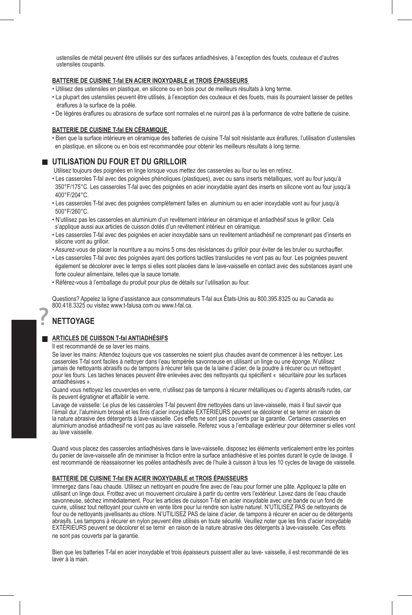ustensiles de métal peuvent être utilisés sur des surfaces antiadhésives, à l'exception des fouets, couteaux et d'autres ustensiles coupants.

### **BATTERIE DE CUISINE T-fal EN ACIER INOXYDABLE et TROIS ÉPAISSEURS**

• Utilisez des ustensiles en plastique, en silicone ou en bois pour de meilleurs résultats à long terme.

- La plupart des ustensiles peuvent être utilisés, à l'exception des couteaux et des fouets, mais ils pourraient laisser de petites éraflures à la surface de la poêle.
- De légères éraflures ou abrasions de surface sont normales et ne nuiront pas à la performance de votre batterie de cuisine.

### **BATTERIE DE CUISINE T-fal EN CÉRAMIQUE**

• Bien que la surface intérieure en céramique des batteries de cuisine T-fal soit résistante aux éraflures, l'utilisation d'ustensiles en plastique, en silicone ou en bois est recommandée pour obtenir les meilleurs résultats à long terme.

### **UTILISATION DU FOUR ET DU GRILLOIR**

Utilisez toujours des poignées en linge lorsque vous mettez des casseroles au four ou les en retirez.

- Les casseroles T-fal avec des poignées phénoliques (plastiques), avec ou sans inserts métalliques, vont au four jusqu'à 350°F/175°C. Les casseroles T-fal avec des poignées en acier inoxydable ayant des inserts en silicone vont au four jusqu'à 400°F/204°C.
- Les casseroles T-fal avec des poignées complètement faites en aluminium ou en acier inoxydable vont au four jusqu'à 500°F/260°C.
- N'utilisez pas les casseroles en aluminium d'un revêtement intérieur en céramique et antiadhésif sous le grilloir. Cela s'applique aussi aux articles de cuisson dotés d'un revêtement intérieur en céramique.
- Les casseroles T-fal avec des poignées en acier inoxydable sans un revêtement antiadhésif ne comprenant pas d'inserts en silicone vont au grilloir.
- Assurez-vous de placer la nourriture a au moins 5 cms des résistances du grilloir pour éviter de les bruler ou surchauffer.
- Les casseroles T-fal avec des poignées ayant des portions tactiles translucides ne vont pas au four. Les poignées peuvent également se décolorer avec le temps si elles sont placées dans le lave-vaisselle en contact avec des substances ayant une forte couleur alimentaire, telles que la sauce tomate.
- Référez-vous à l'emballage du produit pour plus de détails sur l'utilisation au four.

Questions? Appelez la ligne d'assistance aux consommateurs T-fal aux États-Unis au 800.395.8325 ou au Canada au 800.418.3325 ou visitez www.t-falusa.com ou www.t-fal.ca.

# **NETTOYAGE**

### **ARTICLES DE CUISSON T-fal ANTIADHÉSIFS**

Il est recommandé de se laver les mains.

Se laver les mains: Attendez toujours que vos casseroles ne soient plus chaudes avant de commencer à les nettoyer. Les casseroles T-fal sont faciles à nettoyer dans l'eau tempérée savonneuse en utilisant un linge ou une éponge. N'utilisez jamais de nettoyants abrasifs ou de tampons à récurer tels que de la laine d'acier, de la poudre à récurer ou un nettoyant pour les fours. Les taches tenaces peuvent être enlevées avec des nettoyants qui spécifient « sécuritaire pour les surfaces antiadhésives ».

Quand vous nettoyez les couvercles en verre, n'utilisez pas de tampons à récurer métalliques ou d'agents abrasifs rudes, car ils peuvent égratigner et affaiblir le verre.

Lavage de vaisselle: Le plus de les casseroles T-fal peuvent être nettoyées dans un lave-vaisselle, mais il faut savoir que l'émail dur, l'aluminium brossé et les finis d'acier inoxydable EXTÉRIEURS peuvent se décolorer et se ternir en raison de la nature abrasive des détergents à lave-vaisselle. Ces effets ne sont pas couverts par la garantie. Certaines casseroles en aluminium anodisé antiadhesif ne vont pas au lave vaisselle. Referez vous a l'emballage extérieur pour déterminer si elles vont au lave vaisselle.

Quand vous placez des casseroles antiadhésives dans le lave-vaisselle, disposez les éléments verticalement entre les pointes du panier de lave-vaisselle afin de minimiser la friction entre la surface antiadhésive et les pointes durant le cycle de lavage. Il est recommandé de réassaisonner les poêles antiadhésifs avec de l'huile à cuisson à tous les 10 cycles de lavage de vaisselle.

#### **BATTERIE DE CUISINE T-fal EN ACIER INOXYDABLE et TROIS ÉPAISSEURS**

Immergez dans l'eau chaude. Utilisez un nettoyant en poudre fine avec de l'eau pour former une pâte. Appliquez la pâte en utilisant un linge doux. Frottez avec un mouvement circulaire à partir du centre vers l'extérieur. Lavez dans de l'eau chaude savonneuse, séchez immédiatement. Pour les articles de cuisson T-fal en acier inoxydable avec une bande ou un fond de cuivre, utilisez tout nettoyant pour cuivre en vente libre pour lui rendre son lustre naturel. N'UTILISEZ PAS de nettoyants de four ou de nettoyants javellisants au chlore. N'UTILISEZ PAS de laine d'acier, de tampons à récurer en acier ou de détergents abrasifs. Les tampons à récurer en nylon peuvent être utilisés en toute sécurité. Veuillez noter que les finis d'acier inoxydable EXTÉRIEURS peuvent se décolorer et se ternir en raison de la nature abrasive des détergents à lave-vaisselle. Ces effets ne sont pas couverts par la garantie.

Bien que les batteries T-fal en acier inoxydable et trois épaisseurs puissent aller au lave- vaisselle, il est recommandé de les laver à la main.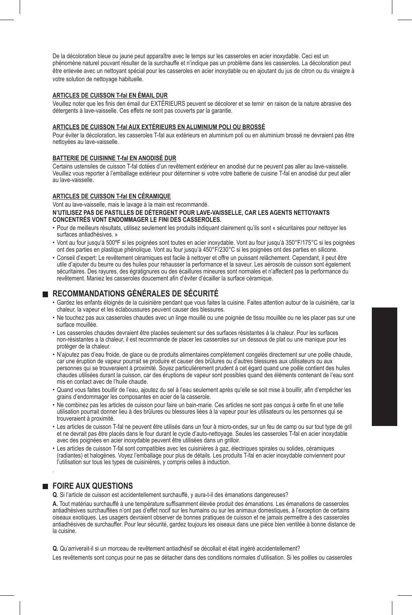De la décoloration bleue ou jaune peut apparaître avec le temps sur les casseroles en acier inoxydable. Ceci est un phénomène naturel pouvant résulter de la surchauffe et n'indique pas un problème dans les casseroles. La décoloration peut être enlevée avec un nettoyant spécial pour les casseroles en acier inoxydable ou en ajoutant du jus de citron ou du vinaigre à votre solution de nettoyage habituelle.

#### **ARTICLES DE CUISSON T-fal EN ÉMAIL DUR**

Veuillez noter que les finis den émail dur EXTÉRIEURS peuvent se décolorer et se ternir en raison de la nature abrasive des détergents à lave-vaisselle. Ces effets ne sont pas couverts par la garantie.

### **ARTICLES DE CUISSON T-fal AUX EXTÉRIEURS EN ALUMINIUM POLI OU BROSSÉ**

Pour éviter la décoloration, les casseroles T-fal aux extérieurs en aluminium poli ou en aluminium brossé ne devraient pas être nettoyées au lave-vaisselle.

#### **BATTERIE DE CUISINNE T-fal EN ANODISÉ DUR**

Certains ustensiles de cuisson T-fal dotées d'un revêtement extérieur en anodisé dur ne peuvent pas aller au lave-vaisselle. Veuillez vous reporter à l'emballage extérieur pour déterminer si votre votre batterie de cuisine T-fal en anodisé dur peut aller au lave-vaisselle.

#### **ARTICLES DE CUISSON T-fal EN CÉRAMIQUE**

Vont au lave-vaisselle, mais le lavage à la main est recommandé. **N'UTILISEZ PAS DE PASTILLES DE DÉTERGENT POUR LAVE-VAISSELLE, CAR LES AGENTS NETTOYANTS CONCENTRÉS VONT ENDOMMAGER LE FINI DES CASSEROLES.** 

- Pour de meilleurs résultats, utilisez seulement les produits indiquant clairement qu'ils sont « sécuritaires pour nettoyer les surfaces antiadhésives. »
- Vont au four jusqu'à 500ºF si les poignées sont toutes en acier inoxydable. Vont au four jusqu'à 350°F/175°C si les poignées ont des parties en plastique phénolique. Vont au four jusqu'à 450°F/230°C si les poignées ont des parties en silicone.
- Conseil d'expert: Le revêtement céramiques est facile à nettoyer et offre un puissant relâchement. Cependant, il peut être utile d'ajouter du beurre ou des huiles pour rehausser la performance et la saveur. Les aérosols de cuisson sont également sécuritaires. Des rayures, des égratignures ou des écaillures mineures sont normales et n'affectent pas la performance du revêtement. Maniez les casseroles doucement afin d'éviter d'écailler la surface céramique.

### **RECOMMANDATIONS GÉNÉRALES DE SÉCURITÉ**

- Gardez les enfants éloignés de la cuisinière pendant que vous faites la cuisine. Faites attention autour de la cuisinière, car la chaleur, la vapeur et les éclaboussures peuvent causer des blessures.
- Ne touchez pas aux casseroles chaudes avec un linge mouillé ou une poignée de tissu mouillée ou ne les placer pas sur une surface mouillée.
- Les casseroles chaudes devraient être placées seulement sur des surfaces résistantes à la chaleur. Pour les surfaces non-résistantes a la chaleur, il est recommande de placer les casseroles sur un dessous de plat ou une manique pour les protéger de la chaleur.
- N'ajoutez pas d'eau froide, de glace ou de produits alimentaires complètement congelés directement sur une poêle chaude, car une éruption de vapeur pourrait se produire et causer des brûlures ou d'autres blessures aux utilisateurs ou aux personnes qui se trouveraient à proximité. Soyez particulièrement prudent à cet égard quand une poêle contient des huiles chaudes utilisées durant la cuisson, car des éruptions de vapeur sont possibles quand des éléments contenant de l'eau sont mis en contact avec de l'huile chaude.
- Quand vous faites bouillir de l'eau, ajoutez du sel à l'eau seulement après qu'elle se soit mise à bouillir, afin d'empêcher les grains d'endommager les composantes en acier de la casserole.
- Ne combinez pas les articles de cuisson pour faire un bain-marie. Ces articles ne sont pas conçus à cette fin et une telle utilisation pourrait donner lieu à des brûlures ou blessures liées à la vapeur pour les utilisateurs ou les personnes qui se trouveraient à proximité.
- Les articles de cuisson T-fal ne peuvent être utilisés dans un four à micro-ondes, sur un feu de camp ou sur tout type de gril et ne devrait pas être placés dans le four durant le cycle d'auto-nettoyage. Seules les casseroles T-fal en acier inoxydable avec des poignées en acier inoxydable peuvent être utilisées dans un grilloir.
- Les articles de cuisson T-fal sont compatibles avec les cuisinières à gaz, électriques spirales ou solides, céramiques (radiantes) et halogènes. Voyez l'emballage pour plus de détails. Les produits T-fal en acier inoxydable conviennent pour l'utilisation sur tous les types de cuisinières, y compris celles à induction.

## **FOIRE AUX QUESTIONS**

.

**Q**. Si l'article de cuisson est accidentellement surchauffé, y aura-t-il des émanations dangereuses?

**A.** Tout matériau surchauffé à une température suffisamment élevée produit des émanations. Les émanations de casseroles antiadhésives surchauffées n'ont pas d'effet nocif sur les humains ou sur les animaux domestiques, à l'exception de certains oiseaux exotiques. Les usagers devraient observer de bonnes pratiques de cuisson et ne jamais permettre à des casseroles antiadhésives de surchauffer. Pour leur sécurité, gardez toujours les oiseaux dans une pièce bien ventilée à bonne distance de la cuisine.

**Q.** Qu'arriverait-il si un morceau de revêtement antiadhésif se décollait et était ingéré accidentellement?

Les revêtements sont conçus pour ne pas se détacher dans des conditions normales d'utilisation. Si les poêles ou casseroles